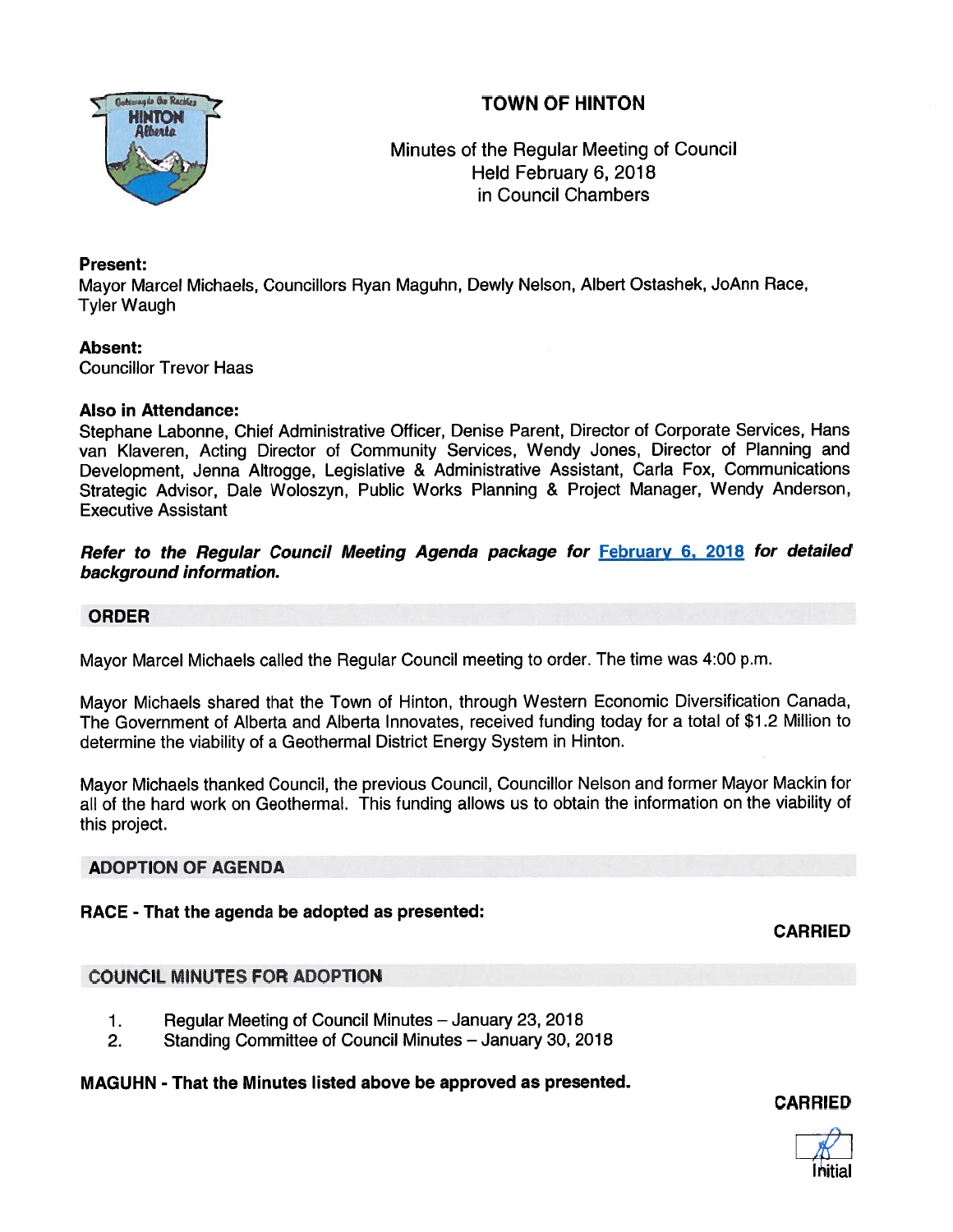# TOWN OF HINTON



Minutes of the Regular Meeting of Council Held February 6, 2018 in Council Chambers

# Present:

Mayor Marcel Michaels, Councillors Ryan Maguhn, Dewly Nelson, Albert Ostashek, JoAnn Race, Tyler Waugh

### Absent:

Councillor Trevor Haas

# Also in Attendance:

Stephane Labonne, Chief Administrative Officer, Denise Parent, Director of Corporate Services, Hans van Klaveren, Acting Director of Community Services, Wendy Jones, Director of Planning and Development, Jenna Altrogge, Legislative & Administrative Assistant, Carla Fox, Communications Strategic Advisor, Dale Woloszyn, Public Works Planning & Project Manager, Wendy Anderson, Executive Assistant

# Refer to the Regular Council Meeting Agenda package for February 6, 2018 for detailed background information.

# ORDER

Mayor Marcel Michaels called the Regular Council meeting to order. The time was 4:00 p.m.

Mayor Michaels shared that the Town of Hinton, through Western Economic Diversification Canada, The Government of Alberta and Alberta Innovates, received funding today for <sup>a</sup> total of \$1.2 Million to determine the viability of <sup>a</sup> Geothermal District Energy System in Hinton.

Mayor Michaels thanked Council, the previous Council, Councillor Nelson and former Mayor Mackin for all of the hard work on Geothermal. This funding allows us to obtain the information on the viability of this project.

# ADOPTION OF AGENDA

# RACE - That the agenda be adopted as presented:

CARRIED

# COUNCIL MINUTES FOR ADOPTION

- 1. Regular Meeting of Council Minutes January 23, 2018
- 2. Standing Committee of Council Minutes January 30, 2018

### MAGUHN - That the Minutes listed above be approved as presented.

CARRIED

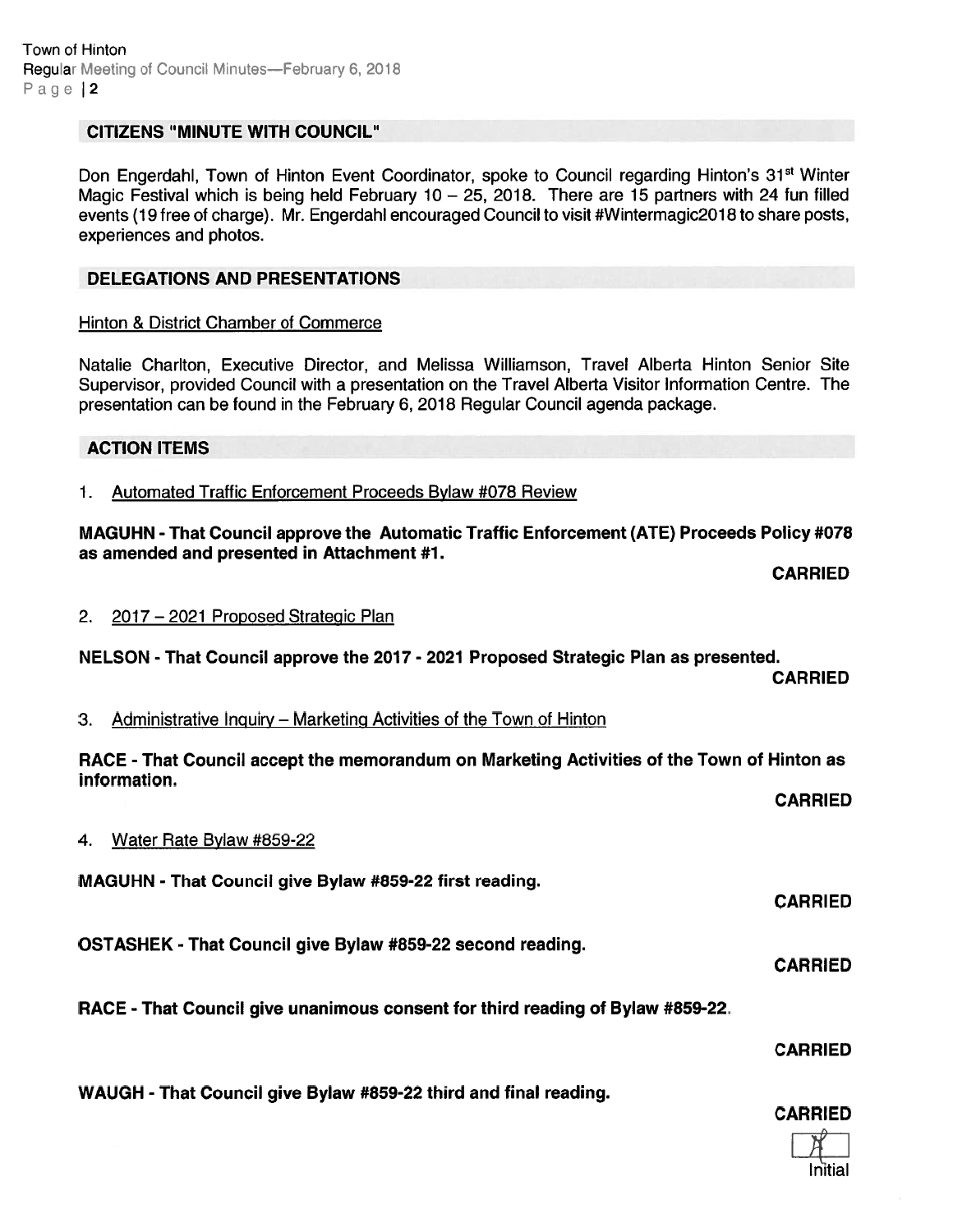# CITIZENS "MINUTE WITH COUNCIL"

Don Engerdahl, Town of Hinton Event Coordinator, spoke to Council regarding Hinton's 31<sup>st</sup> Winter Magic Festival which is being held February 10 – 25, 2018. There are 15 partners with 24 fun filled events (19 free of charge). Mr. Engerdahl encouraged Council to visit #Wintermagic 2018 to share posts, experiences and photos.

### DELEGATIONS AND PRESENTATIONS

### Hinton & District Chamber of Commerce

Natalie Charlton, Executive Director, and Melissa Williamson, Travel Alberta Hinton Senior Site Supervisor, provided Council with <sup>a</sup> presentation on the Travel Alberta Visitor Information Centre. The presentation can be found in the February 6, 2018 Regular Council agenda package.

### ACTION ITEMS

1. Automated Traffic Enforcement Proceeds Bylaw #078 Review

MAGUHN -That Council approve the Automatic Traffic Enforcement (ATE) Proceeds Policy #078 as amended and presented in Attachment #1.

CARRIED

2. 2017—2021 Proposed Strategic Plan

NELSON - That Council approve the 2017 - 2021 Proposed Strategic Plan as presented.

CARRIED

3. Administrative Inquiry — Marketing Activities of the Town of Hinton

RACE - That Council accep<sup>t</sup> the memorandum on Marketing Activities of the Town of Hinton as information.

CARRIED

CARRIED

CARRIED

### 4. Water Rate Bylaw #859-22

MAGUHN - That Council give Bylaw #859-22 first reading.

OSTASHEK - That Council give Bylaw #859-22 second reading.

RACE - That Council give unanimous consent for third reading of Bylaw #859-22.

CARRIED

WAUGH - That Council give Bylaw #859-22 third and final reading.

CARRIED

Initial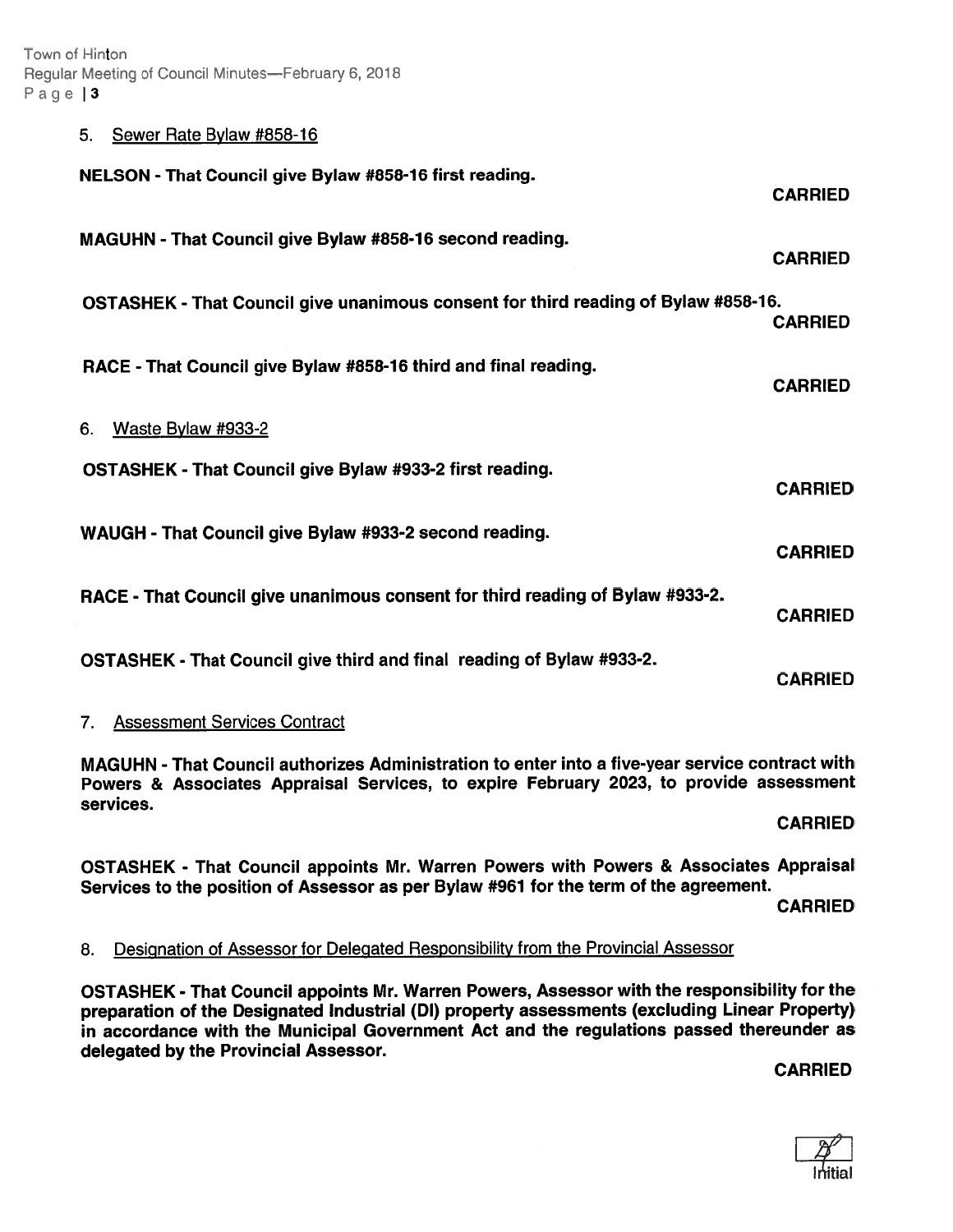Town of Hinton Regular Meeting of Council Minutes—February 6, 2018 Page | 3

#### 5. Sewer Rate Bylaw #858-16

| NELSON - That Council give Bylaw #858-16 first reading.                            | <b>CARRIED</b> |
|------------------------------------------------------------------------------------|----------------|
| MAGUHN - That Council give Bylaw #858-16 second reading.                           | <b>CARRIED</b> |
| OSTASHEK - That Council give unanimous consent for third reading of Bylaw #858-16. | <b>CARRIED</b> |
| RACE - That Council give Bylaw #858-16 third and final reading.                    | <b>CARRIED</b> |
| Waste Bylaw #933-2<br>6.                                                           |                |
| OSTASHEK - That Council give Bylaw #933-2 first reading.                           | <b>CARRIED</b> |
| WAUGH - That Council give Bylaw #933-2 second reading.                             | <b>CARRIED</b> |
| RACE - That Council give unanimous consent for third reading of Bylaw #933-2.      | <b>CARRIED</b> |
| OSTASHEK - That Council give third and final reading of Bylaw #933-2.              | <b>CARRIED</b> |

# 7. Assessment Services Contract

MAGUHN - That Council authorizes Administration to enter into <sup>a</sup> five-year service contract with Powers & Associates Appraisal Services, to expire February 2023, to provide assessment services.

CARRIED

OSTASHEK - That Council appoints Mr. Warren Powers with Powers & Associates Appraisal Services to the position of Assessor as per Bylaw #961 for the term of the agreement.

CARRIED

# 8. Designation of Assessor for Delegated Responsibility from the Provincial Assessor

OSTASHEK - That Council appoints Mr. Warren Powers, Assessor with the responsibility for the preparation of the Designated Industrial (DI) property assessments (excluding Linear Property) in accordance with the Municipal Government Act and the regulations passe<sup>d</sup> thereunder as delegated by the Provincial Assessor.

CARRIED

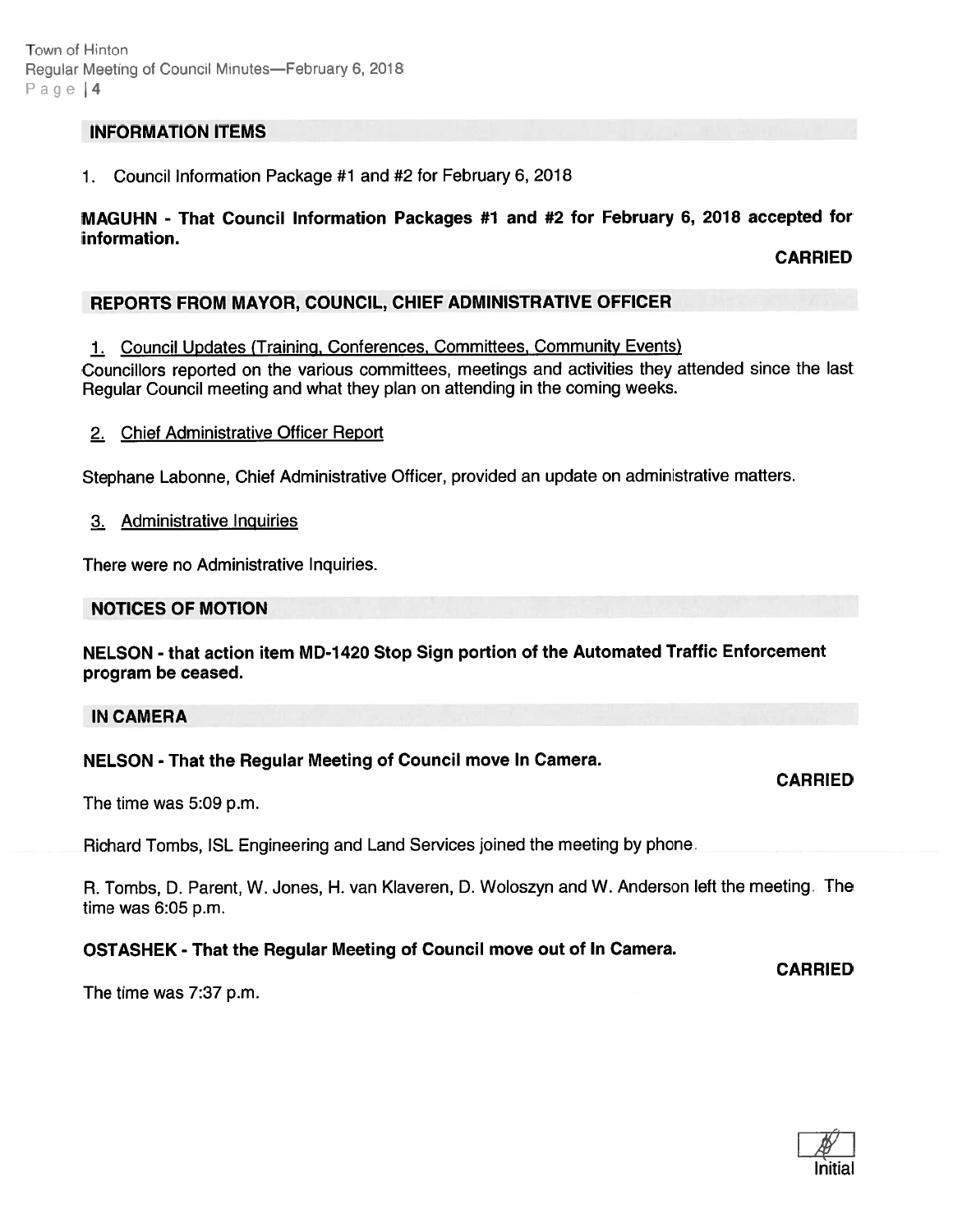# INFORMATION ITEMS

1. Council Information Package #1 and #2 for February 6, 2018

# MAGUHN - That Council Information Packages #1 and #2 for February 6, <sup>2018</sup> accepted for information.

CARRIED

# REPORTS FROM MAYOR, COUNCIL, CHIEF ADMINISTRATIVE OFFICER

1. Council Updates (Training, Conferences, Committees, Community Events)

Councillors reported on the various committees, meetings and activities they attended since the last Regular Council meeting and what they <sup>p</sup>lan on attending in the coming weeks.

2. Chief Administrative Officer Report

Stephane Labonne, Chief Administrative Officer, provided an update on administrative matters.

#### 3. Administrative Inquiries

There were no Administrative Inquiries.

### NOTICES OF MOTION

NELSON - that action item MD-1420 Stop Sign portion of the Automated Traffic Enforcement program be ceased.

#### IN CAMERA

### NELSON - That the Regular Meeting of Council move In Camera.

CARRIED

CARRIED

The time was 5:09 p.m.

Richard Tombs, ISL Engineering and Land Services joined the meeting by phone.

R. Tombs, D. Parent, W. Jones, H. van Klaveren, D. Woloszyn and W. Anderson left the meeting. The time was 6:05 p.m.

### OSTASHEK - That the Regular Meeting of Council move out of In Camera.

The time was 7:37 p.m.